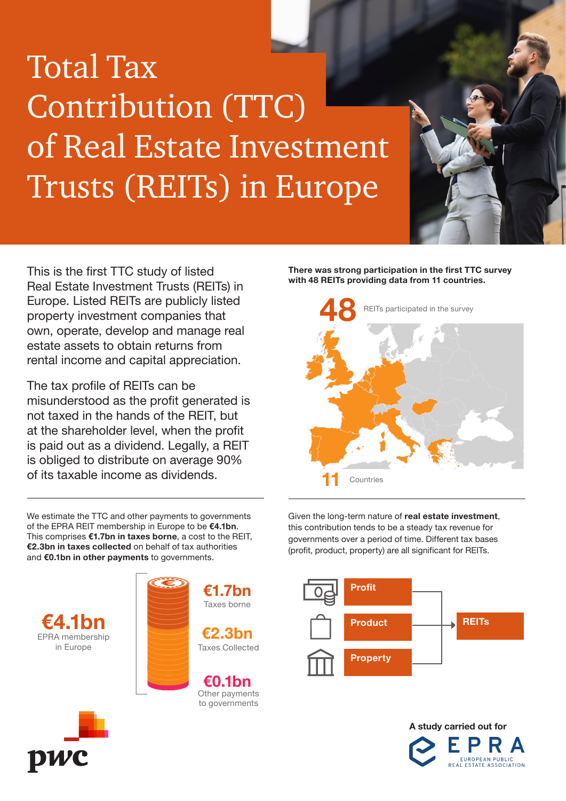# Total Tax Contribution (TTC) of Real Estate Investment Trusts (REITs) in Europe

This is the first TTC study of listed Real Estate Investment Trusts (REITs) in Europe. Listed REITs are publicly listed property investment companies that own, operate, develop and manage real estate assets to obtain returns from rental income and capital appreciation.

The tax profile of REITs can be misunderstood as the profit generated is not taxed in the hands of the REIT, but at the shareholder level, when the profit is paid out as a dividend. Legally, a REIT is obliged to distribute on average 90% of its taxable income as dividends.

We estimate the TTC and other payments to governments of the EPRA REIT membership in Europe to be €4.1bn. This comprises €1.7bn in taxes borne, a cost to the REIT, €2.3bn in taxes collected on behalf of tax authorities and €0.1bn in other payments to governments.





to governments

There was strong participation in the first TTC survey with 48 REITs providing data from 11 countries.



Given the long-term nature of real estate investment, this contribution tends to be a steady tax revenue for governments over a period of time. Different tax bases (profit, product, property) are all significant for REITs.